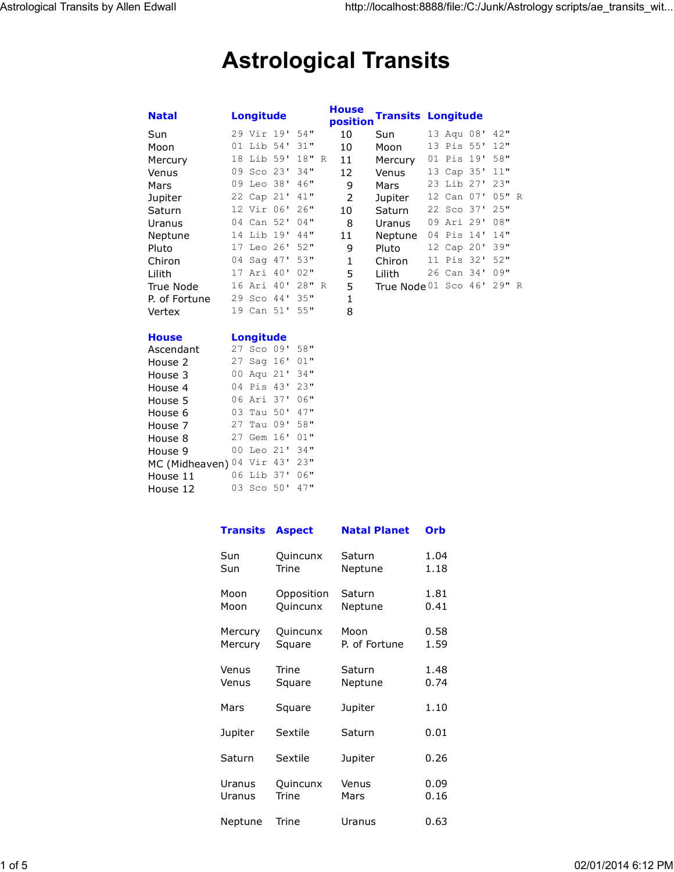# **Astrological Transits**

| <b>Natal</b>  | <b>Longitude</b> |        | <b>House</b><br>position | <b>Transits Longitude</b> |            |           |  |
|---------------|------------------|--------|--------------------------|---------------------------|------------|-----------|--|
| Sun           | 29 Vir 19'       | 54"    | 10                       | Sun                       | 13 Aqu 08' | 42"       |  |
| Moon          | 01 Lib 54'       | 31"    | 10                       | Moon                      | 13 Pis 55' | 12"       |  |
| Mercury       | 18 Lib 59'       | 18"R   | 11                       | Mercury                   | 01 Pis 19' | 58"       |  |
| Venus         | 09 Sco 23'       | 34"    | 12                       | Venus                     | 13 Cap 35' | 11"       |  |
| Mars          | 09 Leo 38'       | 46"    | 9                        | Mars                      | 23 Lib 27' | 23"       |  |
| Jupiter       | 22 Cap 21'       | 41"    | 2                        | Jupiter                   | 12 Can 07' | $0.5$ " R |  |
| Saturn        | 12 Vir 06'       | 26"    | 10                       | Saturn                    | 22 Sco 37' | 2.5"      |  |
| Uranus        | 04 Can 52'       | $04$ " | 8                        | Uranus                    | 09 Ari 29' | 08"       |  |
| Neptune       | 14 Lib 19'       | 44"    | 11                       | Neptune                   | 04 Pis 14' | 14"       |  |
| Pluto         | 17 Leo 26'       | 52"    | 9                        | Pluto                     | 12 Cap 20' | 39"       |  |
| Chiron        | 04 Sag 47'       | 53"    | 1                        | Chiron                    | 11 Pis 32' | 52"       |  |
| Lilith        | 17 Ari 40'       | 02"    | 5                        | Lilith                    | 26 Can 34' | 09"       |  |
| True Node     | 16 Ari 40'       | 28"R   | 5                        | True Node 01 Sco 46'      |            | 29" R     |  |
| P. of Fortune | 29 Sco 44'       | 35"    | 1                        |                           |            |           |  |
| Vertex        | 19 Can 51'       | 55"    | 8                        |                           |            |           |  |

| <b>House</b>   | <b>Longitude</b> |                    |  |        |  |  |
|----------------|------------------|--------------------|--|--------|--|--|
| Ascendant      | 27               | $Sco$ $09'$        |  | 58"    |  |  |
| House 2        | 27               | Saq $16'$          |  | $01$ " |  |  |
| House 3        | 00               | Aqu 21'            |  | 34"    |  |  |
| House 4        | 04               | Pis 43'            |  | 23"    |  |  |
| House 5        |                  | 06 Ari 37'         |  | 06"    |  |  |
| House 6        |                  | 03 Tau 50'         |  | 47"    |  |  |
| House 7        |                  | 27 Tau 09'         |  | 58"    |  |  |
| House 8        | 27               | Gem 16'            |  | $01$ " |  |  |
| House 9        | O O              | Leo $21'$          |  | 34"    |  |  |
| MC (Midheaven) | 04               | Vir 43'            |  | 23"    |  |  |
| House 11       | 06               | Lib 37'            |  | $06$ " |  |  |
| House 12       | 03               | Sco <sub>50'</sub> |  | 47"    |  |  |

| <b>Transits</b> | <b>Aspect</b> | <b>Natal Planet</b> | Orb  |  |
|-----------------|---------------|---------------------|------|--|
| Sun             | Quincunx      | Saturn              | 1.04 |  |
| Sun             | <b>Trine</b>  | Neptune             | 1.18 |  |
| Moon            | Opposition    | Saturn              | 1.81 |  |
| Moon            | Quincunx      | Neptune             | 0.41 |  |
| Mercury         | Quincunx      | Moon                | 0.58 |  |
| Mercury         | Square        | P. of Fortune       | 1.59 |  |
| Venus           | Trine         | Saturn              | 1.48 |  |
| Venus           | Square        | Neptune             | 0.74 |  |
| Mars            | Square        | Jupiter             | 1.10 |  |
| Jupiter         | Sextile       | Saturn              | 0.01 |  |
| Saturn          | Sextile       | Jupiter             | 0.26 |  |
| Uranus          | Quincunx      | Venus               | 0.09 |  |
| Uranus          | Trine         | Mars                | 0.16 |  |
| Neptune         | Trine         | Uranus              |      |  |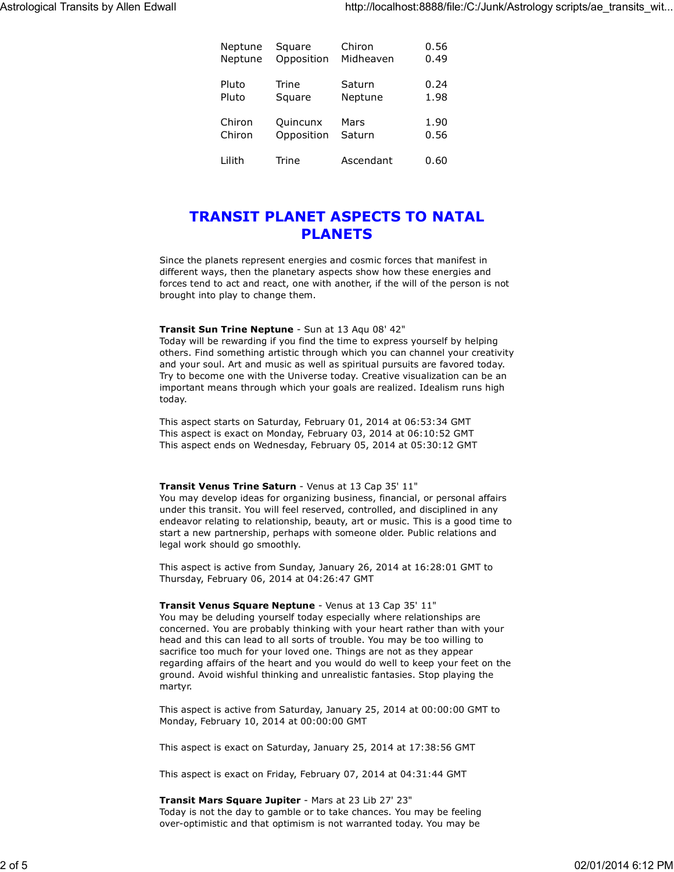| Neptune | Square     | Chiron    | 0.56 |
|---------|------------|-----------|------|
| Neptune | Opposition | Midheaven | 0.49 |
| Pluto   | Trine      | Saturn    | 0.24 |
| Pluto   | Square     | Neptune   | 1.98 |
| Chiron  | Quincunx   | Mars      | 1.90 |
| Chiron  | Opposition | Saturn    | 0.56 |
| Lilith  | Trine      | Ascendant | 0.60 |

# **TRANSIT PLANET ASPECTS TO NATAL PLANETS**

Since the planets represent energies and cosmic forces that manifest in different ways, then the planetary aspects show how these energies and forces tend to act and react, one with another, if the will of the person is not brought into play to change them.

#### **Transit Sun Trine Neptune** - Sun at 13 Aqu 08' 42"

Today will be rewarding if you find the time to express yourself by helping others. Find something artistic through which you can channel your creativity and your soul. Art and music as well as spiritual pursuits are favored today. Try to become one with the Universe today. Creative visualization can be an important means through which your goals are realized. Idealism runs high today.

This aspect starts on Saturday, February 01, 2014 at 06:53:34 GMT This aspect is exact on Monday, February 03, 2014 at 06:10:52 GMT This aspect ends on Wednesday, February 05, 2014 at 05:30:12 GMT

#### **Transit Venus Trine Saturn** - Venus at 13 Cap 35' 11"

You may develop ideas for organizing business, financial, or personal affairs under this transit. You will feel reserved, controlled, and disciplined in any endeavor relating to relationship, beauty, art or music. This is a good time to start a new partnership, perhaps with someone older. Public relations and legal work should go smoothly.

This aspect is active from Sunday, January 26, 2014 at 16:28:01 GMT to Thursday, February 06, 2014 at 04:26:47 GMT

**Transit Venus Square Neptune** - Venus at 13 Cap 35' 11" You may be deluding yourself today especially where relationships are concerned. You are probably thinking with your heart rather than with your head and this can lead to all sorts of trouble. You may be too willing to sacrifice too much for your loved one. Things are not as they appear regarding affairs of the heart and you would do well to keep your feet on the ground. Avoid wishful thinking and unrealistic fantasies. Stop playing the martyr.

This aspect is active from Saturday, January 25, 2014 at 00:00:00 GMT to Monday, February 10, 2014 at 00:00:00 GMT

This aspect is exact on Saturday, January 25, 2014 at 17:38:56 GMT

This aspect is exact on Friday, February 07, 2014 at 04:31:44 GMT

**Transit Mars Square Jupiter** - Mars at 23 Lib 27' 23" Today is not the day to gamble or to take chances. You may be feeling over-optimistic and that optimism is not warranted today. You may be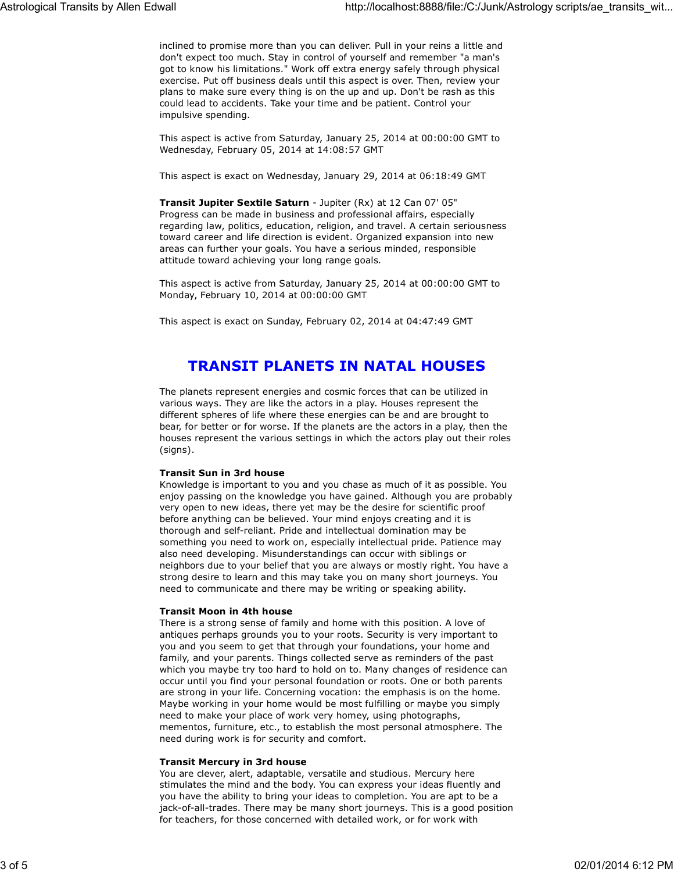inclined to promise more than you can deliver. Pull in your reins a little and don't expect too much. Stay in control of yourself and remember "a man's got to know his limitations." Work off extra energy safely through physical exercise. Put off business deals until this aspect is over. Then, review your plans to make sure every thing is on the up and up. Don't be rash as this could lead to accidents. Take your time and be patient. Control your impulsive spending.

This aspect is active from Saturday, January 25, 2014 at 00:00:00 GMT to Wednesday, February 05, 2014 at 14:08:57 GMT

This aspect is exact on Wednesday, January 29, 2014 at 06:18:49 GMT

**Transit Jupiter Sextile Saturn** - Jupiter (Rx) at 12 Can 07' 05" Progress can be made in business and professional affairs, especially regarding law, politics, education, religion, and travel. A certain seriousness toward career and life direction is evident. Organized expansion into new areas can further your goals. You have a serious minded, responsible attitude toward achieving your long range goals.

This aspect is active from Saturday, January 25, 2014 at 00:00:00 GMT to Monday, February 10, 2014 at 00:00:00 GMT

This aspect is exact on Sunday, February 02, 2014 at 04:47:49 GMT

# **TRANSIT PLANETS IN NATAL HOUSES**

The planets represent energies and cosmic forces that can be utilized in various ways. They are like the actors in a play. Houses represent the different spheres of life where these energies can be and are brought to bear, for better or for worse. If the planets are the actors in a play, then the houses represent the various settings in which the actors play out their roles (signs).

## **Transit Sun in 3rd house**

Knowledge is important to you and you chase as much of it as possible. You enjoy passing on the knowledge you have gained. Although you are probably very open to new ideas, there yet may be the desire for scientific proof before anything can be believed. Your mind enjoys creating and it is thorough and self-reliant. Pride and intellectual domination may be something you need to work on, especially intellectual pride. Patience may also need developing. Misunderstandings can occur with siblings or neighbors due to your belief that you are always or mostly right. You have a strong desire to learn and this may take you on many short journeys. You need to communicate and there may be writing or speaking ability.

#### **Transit Moon in 4th house**

There is a strong sense of family and home with this position. A love of antiques perhaps grounds you to your roots. Security is very important to you and you seem to get that through your foundations, your home and family, and your parents. Things collected serve as reminders of the past which you maybe try too hard to hold on to. Many changes of residence can occur until you find your personal foundation or roots. One or both parents are strong in your life. Concerning vocation: the emphasis is on the home. Maybe working in your home would be most fulfilling or maybe you simply need to make your place of work very homey, using photographs, mementos, furniture, etc., to establish the most personal atmosphere. The need during work is for security and comfort.

#### **Transit Mercury in 3rd house**

You are clever, alert, adaptable, versatile and studious. Mercury here stimulates the mind and the body. You can express your ideas fluently and you have the ability to bring your ideas to completion. You are apt to be a jack-of-all-trades. There may be many short journeys. This is a good position for teachers, for those concerned with detailed work, or for work with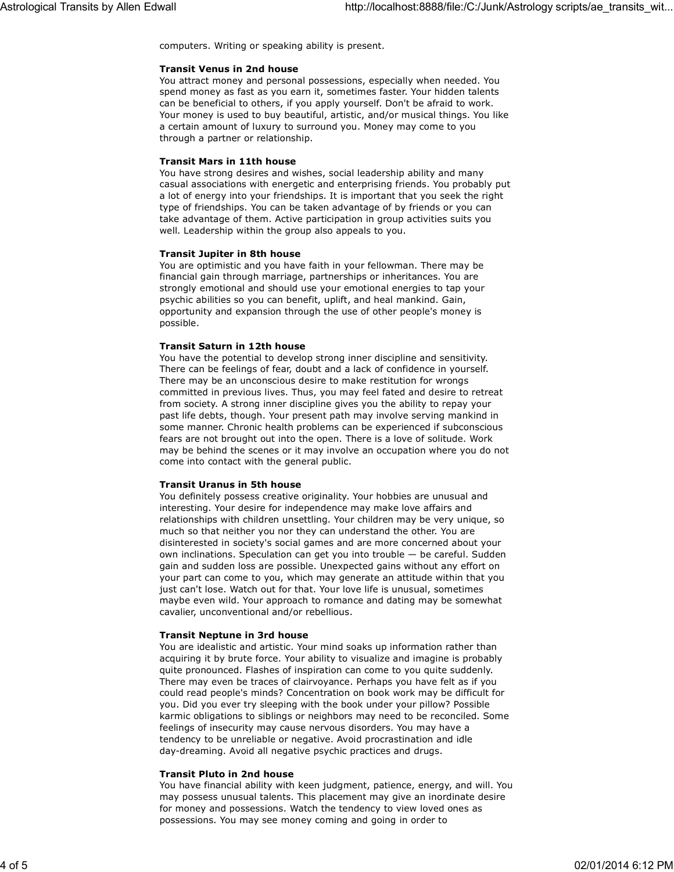computers. Writing or speaking ability is present.

#### **Transit Venus in 2nd house**

You attract money and personal possessions, especially when needed. You spend money as fast as you earn it, sometimes faster. Your hidden talents can be beneficial to others, if you apply yourself. Don't be afraid to work. Your money is used to buy beautiful, artistic, and/or musical things. You like a certain amount of luxury to surround you. Money may come to you through a partner or relationship.

### **Transit Mars in 11th house**

You have strong desires and wishes, social leadership ability and many casual associations with energetic and enterprising friends. You probably put a lot of energy into your friendships. It is important that you seek the right type of friendships. You can be taken advantage of by friends or you can take advantage of them. Active participation in group activities suits you well. Leadership within the group also appeals to you.

#### **Transit Jupiter in 8th house**

You are optimistic and you have faith in your fellowman. There may be financial gain through marriage, partnerships or inheritances. You are strongly emotional and should use your emotional energies to tap your psychic abilities so you can benefit, uplift, and heal mankind. Gain, opportunity and expansion through the use of other people's money is possible.

## **Transit Saturn in 12th house**

You have the potential to develop strong inner discipline and sensitivity. There can be feelings of fear, doubt and a lack of confidence in yourself. There may be an unconscious desire to make restitution for wrongs committed in previous lives. Thus, you may feel fated and desire to retreat from society. A strong inner discipline gives you the ability to repay your past life debts, though. Your present path may involve serving mankind in some manner. Chronic health problems can be experienced if subconscious fears are not brought out into the open. There is a love of solitude. Work may be behind the scenes or it may involve an occupation where you do not come into contact with the general public.

#### **Transit Uranus in 5th house**

You definitely possess creative originality. Your hobbies are unusual and interesting. Your desire for independence may make love affairs and relationships with children unsettling. Your children may be very unique, so much so that neither you nor they can understand the other. You are disinterested in society's social games and are more concerned about your own inclinations. Speculation can get you into trouble — be careful. Sudden gain and sudden loss are possible. Unexpected gains without any effort on your part can come to you, which may generate an attitude within that you just can't lose. Watch out for that. Your love life is unusual, sometimes maybe even wild. Your approach to romance and dating may be somewhat cavalier, unconventional and/or rebellious.

#### **Transit Neptune in 3rd house**

You are idealistic and artistic. Your mind soaks up information rather than acquiring it by brute force. Your ability to visualize and imagine is probably quite pronounced. Flashes of inspiration can come to you quite suddenly. There may even be traces of clairvoyance. Perhaps you have felt as if you could read people's minds? Concentration on book work may be difficult for you. Did you ever try sleeping with the book under your pillow? Possible karmic obligations to siblings or neighbors may need to be reconciled. Some feelings of insecurity may cause nervous disorders. You may have a tendency to be unreliable or negative. Avoid procrastination and idle day-dreaming. Avoid all negative psychic practices and drugs.

#### **Transit Pluto in 2nd house**

You have financial ability with keen judgment, patience, energy, and will. You may possess unusual talents. This placement may give an inordinate desire for money and possessions. Watch the tendency to view loved ones as possessions. You may see money coming and going in order to